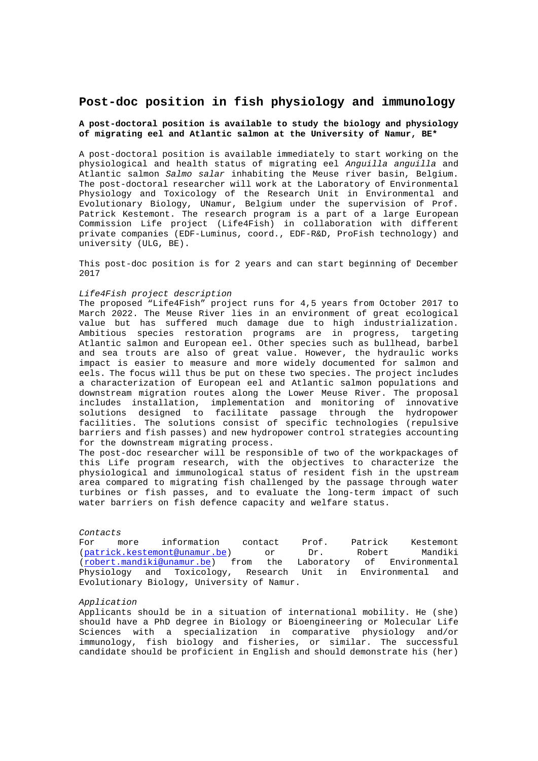# **Post-doc position in fish physiology and immunology**

### **A post-doctoral position is available to study the biology and physiology of migrating eel and Atlantic salmon at the University of Namur, BE\***

A post-doctoral position is available immediately to start working on the physiological and health status of migrating eel *Anguilla anguilla* and Atlantic salmon *Salmo salar* inhabiting the Meuse river basin, Belgium. The post-doctoral researcher will work at the Laboratory of Environmental Physiology and Toxicology of the Research Unit in Environmental and Evolutionary Biology, UNamur, Belgium under the supervision of Prof. Patrick Kestemont. The research program is a part of a large European Commission Life project (Life4Fish) in collaboration with different private companies (EDF-Luminus, coord., EDF-R&D, ProFish technology) and university (ULG, BE).

This post-doc position is for 2 years and can start beginning of December 2017

### *Life4Fish project description*

The proposed "Life4Fish" project runs for 4,5 years from October 2017 to March 2022. The Meuse River lies in an environment of great ecological value but has suffered much damage due to high industrialization. Ambitious species restoration programs are in progress, targeting Atlantic salmon and European eel. Other species such as bullhead, barbel and sea trouts are also of great value. However, the hydraulic works impact is easier to measure and more widely documented for salmon and eels. The focus will thus be put on these two species. The project includes a characterization of European eel and Atlantic salmon populations and downstream migration routes along the Lower Meuse River. The proposal includes installation, implementation and monitoring of innovative solutions designed to facilitate passage through the hydropower facilities. The solutions consist of specific technologies (repulsive barriers and fish passes) and new hydropower control strategies accounting for the downstream migrating process.

The post-doc researcher will be responsible of two of the workpackages of this Life program research, with the objectives to characterize the physiological and immunological status of resident fish in the upstream area compared to migrating fish challenged by the passage through water turbines or fish passes, and to evaluate the long-term impact of such water barriers on fish defence capacity and welfare status.

#### *Contacts*

For more information contact Prof. Patrick Kestemont (patrick.kestemont@unamur.be) or Dr. Robert Mandiki (robert.mandiki@unamur.be) from the Laboratory of Environmental Physiology and Toxicology, Research Unit in Environmental and Evolutionary Biology, University of Namur.

#### *Application*

Applicants should be in a situation of international mobility. He (she) should have a PhD degree in Biology or Bioengineering or Molecular Life Sciences with a specialization in comparative physiology and/or immunology, fish biology and fisheries, or similar. The successful candidate should be proficient in English and should demonstrate his (her)